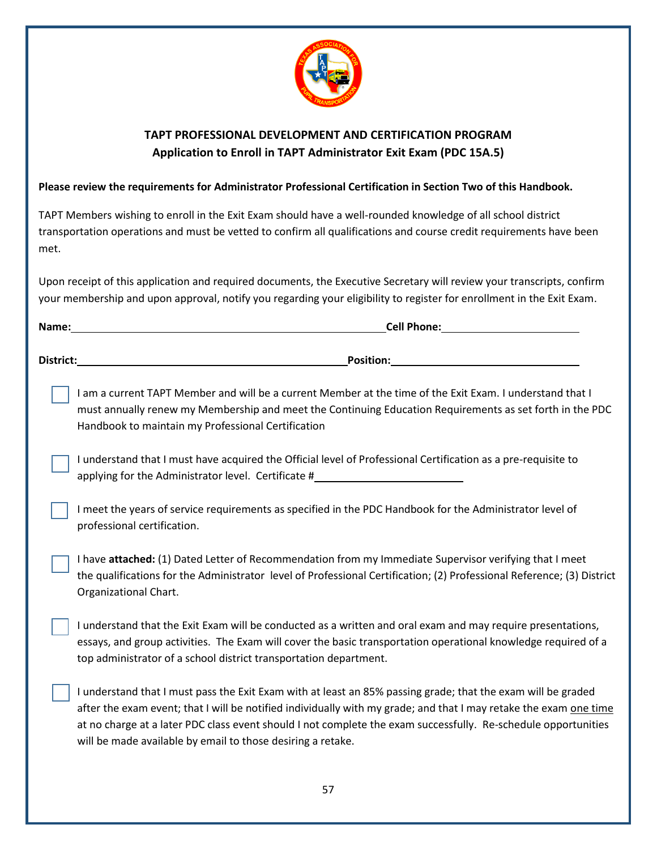

## **TAPT PROFESSIONAL DEVELOPMENT AND CERTIFICATION PROGRAM Application to Enroll in TAPT Administrator Exit Exam (PDC 15A.5)**

## **Please review the requirements for Administrator Professional Certification in Section Two of this Handbook.**

TAPT Members wishing to enroll in the Exit Exam should have a well-rounded knowledge of all school district transportation operations and must be vetted to confirm all qualifications and course credit requirements have been met.

Upon receipt of this application and required documents, the Executive Secretary will review your transcripts, confirm your membership and upon approval, notify you regarding your eligibility to register for enrollment in the Exit Exam.

| Name:     | <b>Cell Phone:</b> |  |
|-----------|--------------------|--|
| District: | <b>Position:</b>   |  |

I am a current TAPT Member and will be a current Member at the time of the Exit Exam. I understand that I must annually renew my Membership and meet the Continuing Education Requirements as set forth in the PDC Handbook to maintain my Professional Certification

I understand that I must have acquired the Official level of Professional Certification as a pre-requisite to applying for the Administrator level. Certificate #

I meet the years of service requirements as specified in the PDC Handbook for the Administrator level of professional certification.

I have **attached:** (1) Dated Letter of Recommendation from my Immediate Supervisor verifying that I meet the qualifications for the Administrator level of Professional Certification; (2) Professional Reference; (3) District Organizational Chart.

I understand that the Exit Exam will be conducted as a written and oral exam and may require presentations, essays, and group activities. The Exam will cover the basic transportation operational knowledge required of a top administrator of a school district transportation department.

I understand that I must pass the Exit Exam with at least an 85% passing grade; that the exam will be graded after the exam event; that I will be notified individually with my grade; and that I may retake the exam one time at no charge at a later PDC class event should I not complete the exam successfully. Re-schedule opportunities will be made available by email to those desiring a retake.